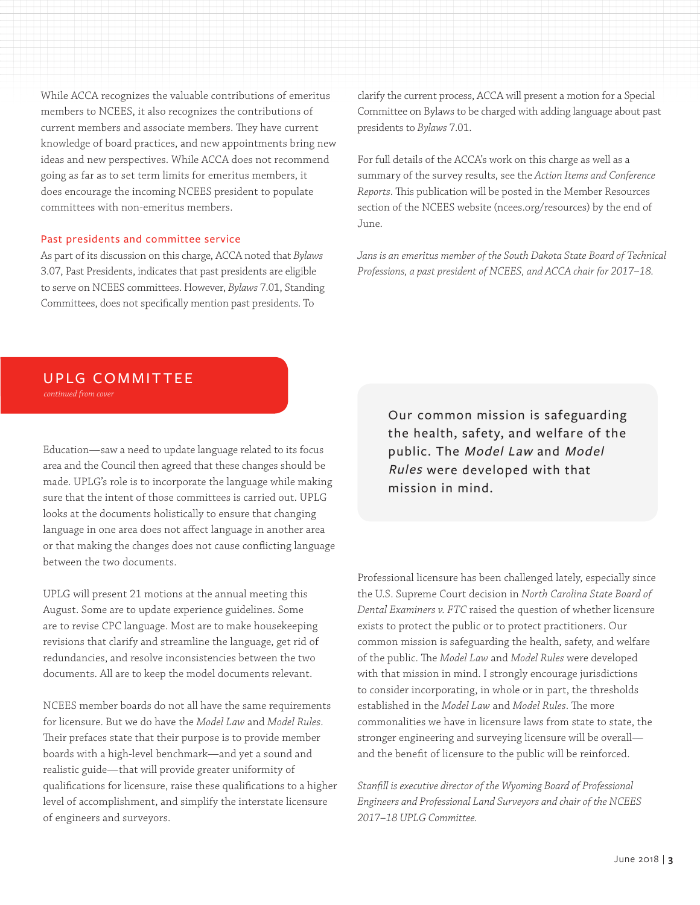While ACCA recognizes the valuable contributions of emeritus members to NCEES, it also recognizes the contributions of current members and associate members. They have current knowledge of board practices, and new appointments bring new ideas and new perspectives. While ACCA does not recommend going as far as to set term limits for emeritus members, it does encourage the incoming NCEES president to populate committees with non-emeritus members.

#### Past presidents and committee service

As part of its discussion on this charge, ACCA noted that *Bylaws* 3.07, Past Presidents, indicates that past presidents are eligible to serve on NCEES committees. However, *Bylaws* 7.01, Standing Committees, does not specifically mention past presidents. To

clarify the current process, ACCA will present a motion for a Special Committee on Bylaws to be charged with adding language about past presidents to *Bylaws* 7.01.

For full details of the ACCA's work on this charge as well as a summary of the survey results, see the *Action Items and Conference Reports*. This publication will be posted in the Member Resources section of the NCEES website (ncees.org/resources) by the end of June.

*Jans is an emeritus member of the South Dakota State Board of Technical Professions, a past president of NCEES, and ACCA chair for 2017–18.*

### UPLG COMMITTEE

*continued from cover*

Education—saw a need to update language related to its focus area and the Council then agreed that these changes should be made. UPLG's role is to incorporate the language while making sure that the intent of those committees is carried out. UPLG looks at the documents holistically to ensure that changing language in one area does not affect language in another area or that making the changes does not cause conflicting language between the two documents.

UPLG will present 21 motions at the annual meeting this August. Some are to update experience guidelines. Some are to revise CPC language. Most are to make housekeeping revisions that clarify and streamline the language, get rid of redundancies, and resolve inconsistencies between the two documents. All are to keep the model documents relevant.

NCEES member boards do not all have the same requirements for licensure. But we do have the *Model Law* and *Model Rules*. Their prefaces state that their purpose is to provide member boards with a high-level benchmark—and yet a sound and realistic guide—that will provide greater uniformity of qualifications for licensure, raise these qualifications to a higher level of accomplishment, and simplify the interstate licensure of engineers and surveyors.

Our common mission is safeguarding the health, safety, and welfare of the public. The Model Law and Model Rules were developed with that mission in mind.

Professional licensure has been challenged lately, especially since the U.S. Supreme Court decision in *North Carolina State Board of Dental Examiners v. FTC* raised the question of whether licensure exists to protect the public or to protect practitioners. Our common mission is safeguarding the health, safety, and welfare of the public. The *Model Law* and *Model Rules* were developed with that mission in mind. I strongly encourage jurisdictions to consider incorporating, in whole or in part, the thresholds established in the *Model Law* and *Model Rules*. The more commonalities we have in licensure laws from state to state, the stronger engineering and surveying licensure will be overall and the benefit of licensure to the public will be reinforced.

*Stanfill is executive director of the Wyoming Board of Professional Engineers and Professional Land Surveyors and chair of the NCEES 2017–18 UPLG Committee.*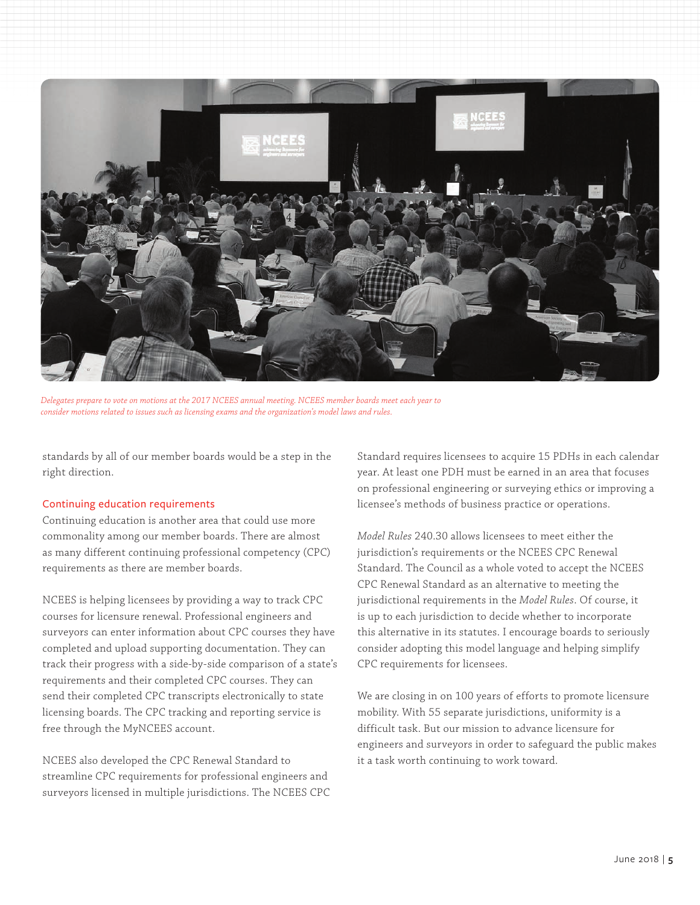

*Delegates prepare to vote on motions at the 2017 NCEES annual meeting. NCEES member boards meet each year to consider motions related to issues such as licensing exams and the organization's model laws and rules.* 

standards by all of our member boards would be a step in the right direction.

#### Continuing education requirements

Continuing education is another area that could use more commonality among our member boards. There are almost as many different continuing professional competency (CPC) requirements as there are member boards.

NCEES is helping licensees by providing a way to track CPC courses for licensure renewal. Professional engineers and surveyors can enter information about CPC courses they have completed and upload supporting documentation. They can track their progress with a side-by-side comparison of a state's requirements and their completed CPC courses. They can send their completed CPC transcripts electronically to state licensing boards. The CPC tracking and reporting service is free through the MyNCEES account.

NCEES also developed the CPC Renewal Standard to streamline CPC requirements for professional engineers and surveyors licensed in multiple jurisdictions. The NCEES CPC Standard requires licensees to acquire 15 PDHs in each calendar year. At least one PDH must be earned in an area that focuses on professional engineering or surveying ethics or improving a licensee's methods of business practice or operations.

*Model Rules* 240.30 allows licensees to meet either the jurisdiction's requirements or the NCEES CPC Renewal Standard. The Council as a whole voted to accept the NCEES CPC Renewal Standard as an alternative to meeting the jurisdictional requirements in the *Model Rules*. Of course, it is up to each jurisdiction to decide whether to incorporate this alternative in its statutes. I encourage boards to seriously consider adopting this model language and helping simplify CPC requirements for licensees.

We are closing in on 100 years of efforts to promote licensure mobility. With 55 separate jurisdictions, uniformity is a difficult task. But our mission to advance licensure for engineers and surveyors in order to safeguard the public makes it a task worth continuing to work toward.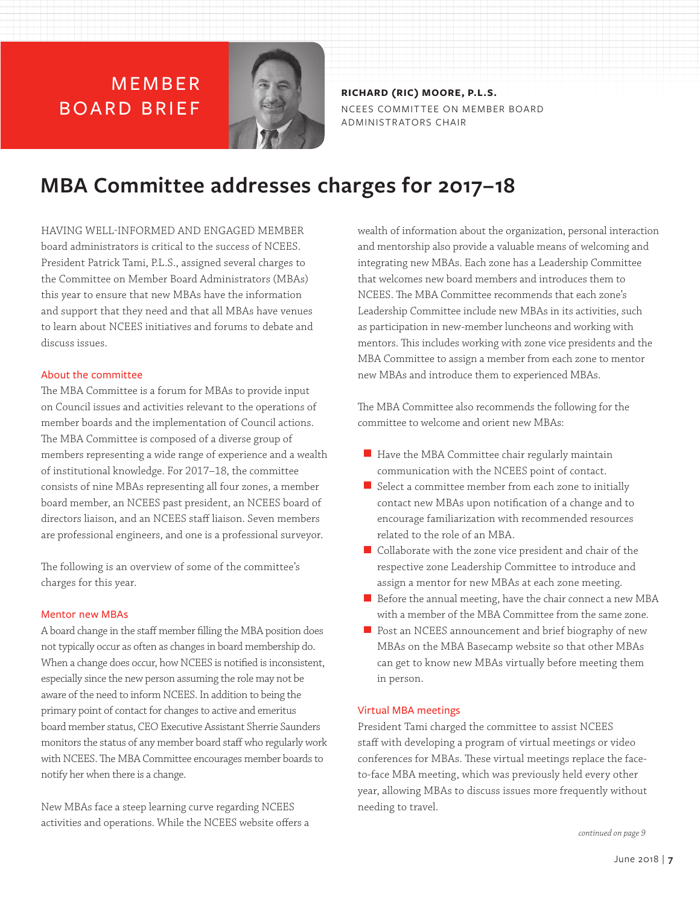## **MFMBFR** BOARD BRIEF



**RICHARD (RIC) MOORE, P.L.S.** NCEES COMMIT TEE ON MEMBER BOARD ADMINISTRATORS CHAIR

# **MBA Committee addresses charges for 2017–18**

HAVING WELL-INFORMED AND ENGAGED MEMBER board administrators is critical to the success of NCEES. President Patrick Tami, P.L.S., assigned several charges to the Committee on Member Board Administrators (MBAs) this year to ensure that new MBAs have the information and support that they need and that all MBAs have venues to learn about NCEES initiatives and forums to debate and discuss issues.

#### About the committee

The MBA Committee is a forum for MBAs to provide input on Council issues and activities relevant to the operations of member boards and the implementation of Council actions. The MBA Committee is composed of a diverse group of members representing a wide range of experience and a wealth of institutional knowledge. For 2017–18, the committee consists of nine MBAs representing all four zones, a member board member, an NCEES past president, an NCEES board of directors liaison, and an NCEES staff liaison. Seven members are professional engineers, and one is a professional surveyor.

The following is an overview of some of the committee's charges for this year.

#### Mentor new MBAs

A board change in the staff member filling the MBA position does not typically occur as often as changes in board membership do. When a change does occur, how NCEES is notified is inconsistent, especially since the new person assuming the role may not be aware of the need to inform NCEES. In addition to being the primary point of contact for changes to active and emeritus board member status, CEO Executive Assistant Sherrie Saunders monitors the status of any member board staff who regularly work with NCEES. The MBA Committee encourages member boards to notify her when there is a change.

New MBAs face a steep learning curve regarding NCEES activities and operations. While the NCEES website offers a wealth of information about the organization, personal interaction and mentorship also provide a valuable means of welcoming and integrating new MBAs. Each zone has a Leadership Committee that welcomes new board members and introduces them to NCEES. The MBA Committee recommends that each zone's Leadership Committee include new MBAs in its activities, such as participation in new-member luncheons and working with mentors. This includes working with zone vice presidents and the MBA Committee to assign a member from each zone to mentor new MBAs and introduce them to experienced MBAs.

The MBA Committee also recommends the following for the committee to welcome and orient new MBAs:

- $\blacksquare$  Have the MBA Committee chair regularly maintain communication with the NCEES point of contact.
- Select a committee member from each zone to initially contact new MBAs upon notification of a change and to encourage familiarization with recommended resources related to the role of an MBA.
- Collaborate with the zone vice president and chair of the respective zone Leadership Committee to introduce and assign a mentor for new MBAs at each zone meeting.
- $\blacksquare$  Before the annual meeting, have the chair connect a new MBA with a member of the MBA Committee from the same zone.
- **Post an NCEES announcement and brief biography of new** MBAs on the MBA Basecamp website so that other MBAs can get to know new MBAs virtually before meeting them in person.

#### Virtual MBA meetings

President Tami charged the committee to assist NCEES staff with developing a program of virtual meetings or video conferences for MBAs. These virtual meetings replace the faceto-face MBA meeting, which was previously held every other year, allowing MBAs to discuss issues more frequently without needing to travel.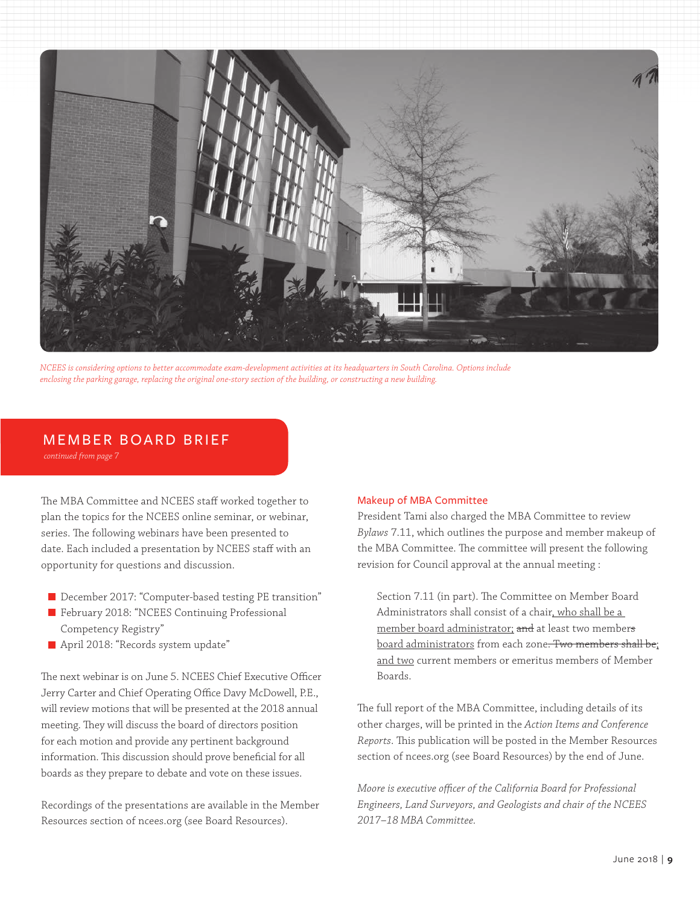

*NCEES is considering options to better accommodate exam-development activities at its headquarters in South Carolina. Options include enclosing the parking garage, replacing the original one-story section of the building, or constructing a new building.*

#### MEMBER BOARD BRIEF

*continued from page 7*

The MBA Committee and NCEES staff worked together to plan the topics for the NCEES online seminar, or webinar, series. The following webinars have been presented to date. Each included a presentation by NCEES staff with an opportunity for questions and discussion.

- December 2017: "Computer-based testing PE transition"
- February 2018: "NCEES Continuing Professional Competency Registry"
- April 2018: "Records system update"

The next webinar is on June 5. NCEES Chief Executive Officer Jerry Carter and Chief Operating Office Davy McDowell, P.E., will review motions that will be presented at the 2018 annual meeting. They will discuss the board of directors position for each motion and provide any pertinent background information. This discussion should prove beneficial for all boards as they prepare to debate and vote on these issues.

Recordings of the presentations are available in the Member Resources section of ncees.org (see Board Resources).

#### Makeup of MBA Committee

President Tami also charged the MBA Committee to review *Bylaws* 7.11, which outlines the purpose and member makeup of the MBA Committee. The committee will present the following revision for Council approval at the annual meeting :

Section 7.11 (in part). The Committee on Member Board Administrators shall consist of a chair, who shall be a member board administrator; and at least two members board administrators from each zone. Two members shall be; and two current members or emeritus members of Member Boards.

The full report of the MBA Committee, including details of its other charges, will be printed in the *Action Items and Conference Reports*. This publication will be posted in the Member Resources section of ncees.org (see Board Resources) by the end of June.

*Moore is executive officer of the California Board for Professional Engineers, Land Surveyors, and Geologists and chair of the NCEES 2017–18 MBA Committee.*